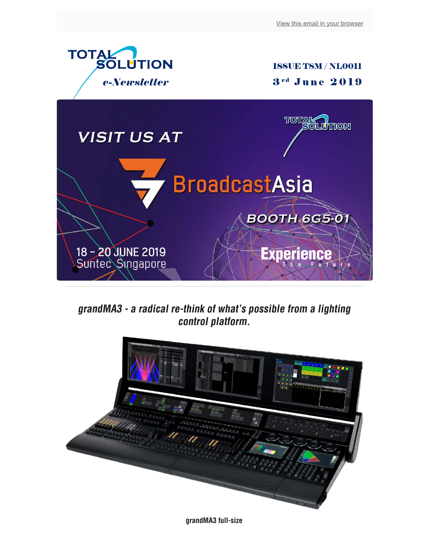

**grandMA3 - a radical re-think of what's possible from a lighting control platform.**



**grandMA3 full-size**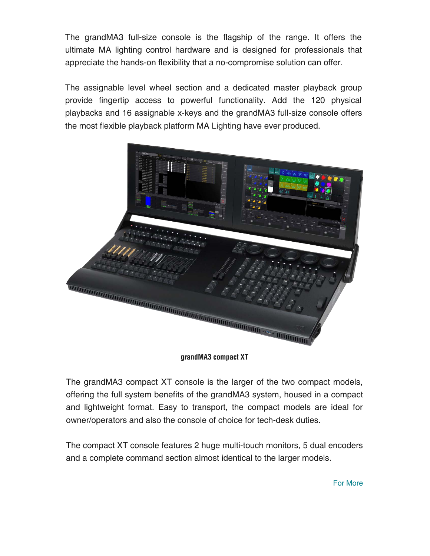The grandMA3 full-size console is the flagship of the range. It offers the ultimate MA lighting control hardware and is designed for professionals that appreciate the hands-on flexibility that a no-compromise solution can offer.

The assignable level wheel section and a dedicated master playback group provide fingertip access to powerful functionality. Add the 120 physical playbacks and 16 assignable x-keys and the grandMA3 full-size console offers the most flexible playback platform MA Lighting have ever produced.



**grandMA3 compact XT**

The grandMA3 compact XT console is the larger of the two compact models, offering the full system benefits of the grandMA3 system, housed in a compact and lightweight format. Easy to transport, the compact models are ideal for owner/operators and also the console of choice for tech-desk duties.

The compact XT console features 2 huge multi-touch monitors, 5 dual encoders and a complete command section almost identical to the larger models.

For More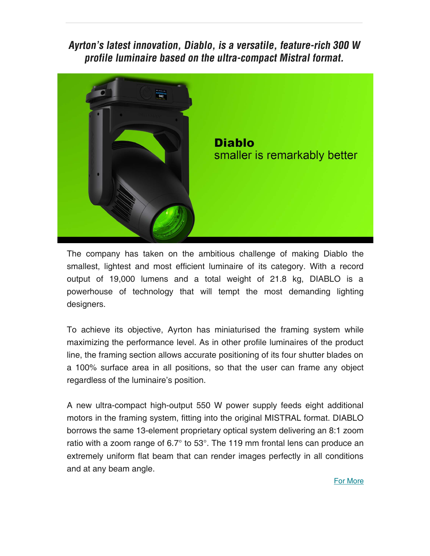**Ayrton's latest innovation, Diablo, is a versatile, feature-rich 300 W profile luminaire based on the ultra-compact Mistral format.**



The company has taken on the ambitious challenge of making Diablo the smallest, lightest and most efficient luminaire of its category. With a record output of 19,000 lumens and a total weight of 21.8 kg, DIABLO is a powerhouse of technology that will tempt the most demanding lighting designers.

To achieve its objective, Ayrton has miniaturised the framing system while maximizing the performance level. As in other profile luminaires of the product line, the framing section allows accurate positioning of its four shutter blades on a 100% surface area in all positions, so that the user can frame any object regardless of the luminaire's position.

A new ultra-compact high-output 550 W power supply feeds eight additional motors in the framing system, fitting into the original MISTRAL format. DIABLO borrows the same 13-element proprietary optical system delivering an 8:1 zoom ratio with a zoom range of 6.7° to 53°. The 119 mm frontal lens can produce an extremely uniform flat beam that can render images perfectly in all conditions and at any beam angle.

## For More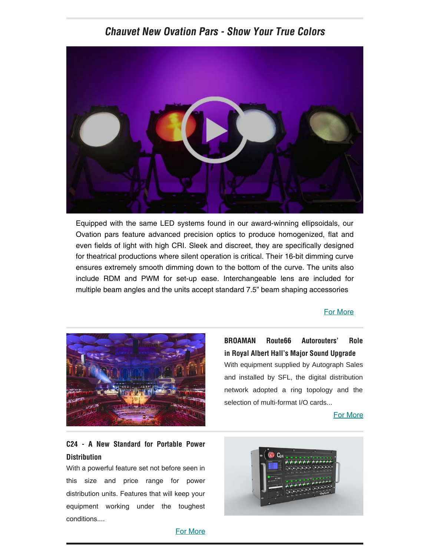## **Chauvet New Ovation Pars - Show Your True Colors**



Equipped with the same LED systems found in our award-winning ellipsoidals, our Ovation pars feature advanced precision optics to produce homogenized, flat and even fields of light with high CRI. Sleek and discreet, they are specifically designed for theatrical productions where silent operation is critical. Their 16-bit dimming curve ensures extremely smooth dimming down to the bottom of the curve. The units also include RDM and PWM for set-up ease. Interchangeable lens are included for multiple beam angles and the units accept standard 7.5" beam shaping accessories

### [For More](https://www.chauvetprofessional.com/products/ovation-p-56ww/)



**BROAMAN Route66 Autorouters' Role in Royal Albert Hall's Major Sound Upgrade** With equipment supplied by Autograph Sales and installed by SFL, the digital distribution network adopted a ring topology and the selection of multi-format I/O cards...

[For More](http://broadcastmanufactur.com/index.php/news-events/news/268-broaman-route66-autorouters-role-in-royal-albert-hall-s-major-sound-upgrade?fbclid=IwAR30k1NP-Rtn3yvnPzZRClIC-tTEF0G2gK8JUEgABi7B19Cud9pBk8howxw)

## **C24 - A New Standard for Portable Power Distribution**

With a powerful feature set not before seen in this size and price range for power distribution units. Features that will keep your equipment working under the toughest conditions....



#### [For More](https://www.stagesmarts.com/c24/)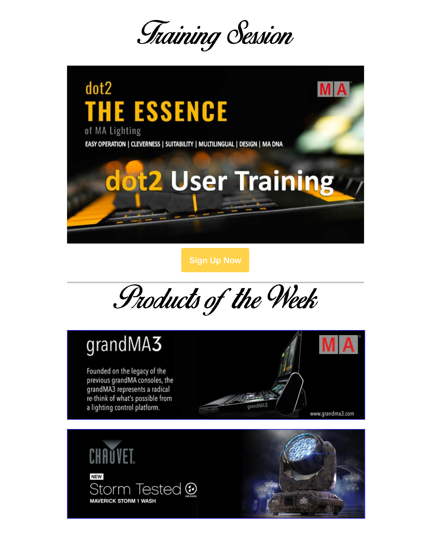



**[Sign Up Now](https://www.tsm-int.com/training_classes/dot2/)**

Products of the Week

# grandMA3

Founded on the legacy of the previous grandMA consoles, the grandMA3 represents a radical re-think of what's possible from a lighting control platform.